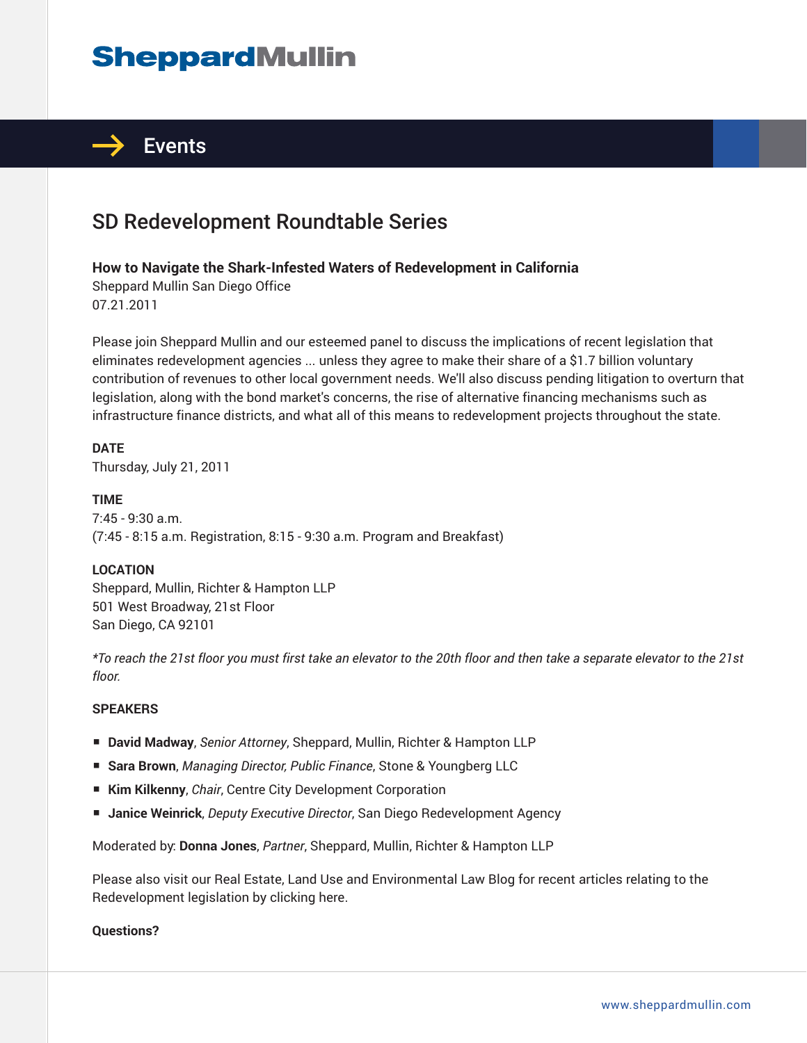# **SheppardMullin**



## SD Redevelopment Roundtable Series

#### **How to Navigate the Shark-Infested Waters of Redevelopment in California**

Sheppard Mullin San Diego Office 07.21.2011

Please join Sheppard Mullin and our esteemed panel to discuss the implications of recent legislation that eliminates redevelopment agencies ... unless they agree to make their share of a \$1.7 billion voluntary contribution of revenues to other local government needs. We'll also discuss pending litigation to overturn that legislation, along with the bond market's concerns, the rise of alternative financing mechanisms such as infrastructure finance districts, and what all of this means to redevelopment projects throughout the state.

**DATE** Thursday, July 21, 2011

**TIME** 7:45 - 9:30 a.m. (7:45 - 8:15 a.m. Registration, 8:15 - 9:30 a.m. Program and Breakfast)

#### **LOCATION**

Sheppard, Mullin, Richter & Hampton LLP 501 West Broadway, 21st Floor San Diego, CA 92101

*\*To reach the 21st floor you must first take an elevator to the 20th floor and then take a separate elevator to the 21st floor.*

#### **SPEAKERS**

- **David Madway**, *Senior Attorney*, Sheppard, Mullin, Richter & Hampton LLP
- **Sara Brown**, *Managing Director, Public Finance*, Stone & Youngberg LLC
- **Kim Kilkenny**, *Chair*, Centre City Development Corporation
- **Janice Weinrick**, *Deputy Executive Director*, San Diego Redevelopment Agency

Moderated by: **Donna Jones**, *Partner*, Sheppard, Mullin, Richter & Hampton LLP

Please also visit our Real Estate, Land Use and Environmental Law Blog for recent articles relating to the Redevelopment legislation by clicking here.

**Questions?**